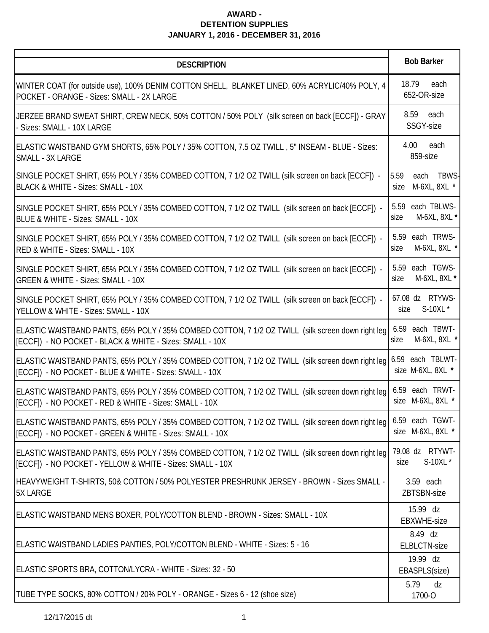| <b>DESCRIPTION</b>                                                                                                                                                            | <b>Bob Barker</b>                             |  |  |
|-------------------------------------------------------------------------------------------------------------------------------------------------------------------------------|-----------------------------------------------|--|--|
| WINTER COAT (for outside use), 100% DENIM COTTON SHELL, BLANKET LINED, 60% ACRYLIC/40% POLY, 4<br>POCKET - ORANGE - Sizes: SMALL - 2X LARGE                                   | 18.79<br>each<br>652-OR-size                  |  |  |
| JERZEE BRAND SWEAT SHIRT, CREW NECK, 50% COTTON / 50% POLY (silk screen on back [ECCF]) - GRAY<br>Sizes: SMALL - 10X LARGE                                                    | 8.59 each<br>SSGY-size                        |  |  |
| ELASTIC WAISTBAND GYM SHORTS, 65% POLY / 35% COTTON, 7.5 OZ TWILL, 5" INSEAM - BLUE - Sizes:<br>SMALL - 3X LARGE                                                              | 4.00<br>each<br>859-size                      |  |  |
| SINGLE POCKET SHIRT, 65% POLY / 35% COMBED COTTON, 7 1/2 OZ TWILL (silk screen on back [ECCF]) -<br>BLACK & WHITE - Sizes: SMALL - 10X                                        | 5.59<br>each<br>TBWS-<br>M-6XL, 8XL *<br>size |  |  |
| SINGLE POCKET SHIRT, 65% POLY / 35% COMBED COTTON, 7 1/2 OZ TWILL (silk screen on back [ECCF]) -<br>BLUE & WHITE - Sizes: SMALL - 10X                                         | each TBLWS-<br>5.59<br>M-6XL, 8XL *<br>size   |  |  |
| SINGLE POCKET SHIRT, 65% POLY / 35% COMBED COTTON, 7 1/2 OZ TWILL (silk screen on back [ECCF]) -<br>RED & WHITE - Sizes: SMALL - 10X                                          | each TRWS-<br>5.59<br>M-6XL, 8XL *<br>size    |  |  |
| SINGLE POCKET SHIRT, 65% POLY / 35% COMBED COTTON, 7 1/2 OZ TWILL (silk screen on back [ECCF]) -<br><b>GREEN &amp; WHITE - Sizes: SMALL - 10X</b>                             | each TGWS-<br>5.59<br>M-6XL, 8XL *<br>size    |  |  |
| SINGLE POCKET SHIRT, 65% POLY / 35% COMBED COTTON, 7 1/2 OZ TWILL (silk screen on back [ECCF]) -<br>YELLOW & WHITE - Sizes: SMALL - 10X                                       | 67.08 dz RTYWS-<br>S-10XL *<br>size           |  |  |
| ELASTIC WAISTBAND PANTS, 65% POLY / 35% COMBED COTTON, 7 1/2 OZ TWILL (silk screen down right leg<br>[ECCF]) - NO POCKET - BLACK & WHITE - Sizes: SMALL - 10X                 | 6.59 each TBWT-<br>M-6XL, 8XL *<br>size       |  |  |
| ELASTIC WAISTBAND PANTS, 65% POLY / 35% COMBED COTTON, 7 1/2 OZ TWILL (silk screen down right leg 6.59 each TBLWT-<br>[ECCF]) - NO POCKET - BLUE & WHITE - Sizes: SMALL - 10X | size M-6XL, 8XL *                             |  |  |
| ELASTIC WAISTBAND PANTS, 65% POLY / 35% COMBED COTTON, 7 1/2 OZ TWILL (silk screen down right leg<br>[ECCF]) - NO POCKET - RED & WHITE - Sizes: SMALL - 10X                   | 6.59 each TRWT-<br>size M-6XL, 8XL *          |  |  |
| ELASTIC WAISTBAND PANTS, 65% POLY / 35% COMBED COTTON, 7 1/2 OZ TWILL (silk screen down right leg<br>[ECCF]) - NO POCKET - GREEN & WHITE - Sizes: SMALL - 10X                 | 6.59 each TGWT-<br>size M-6XL, 8XL *          |  |  |
| ELASTIC WAISTBAND PANTS, 65% POLY / 35% COMBED COTTON, 7 1/2 OZ TWILL (silk screen down right leg<br>[ECCF]) - NO POCKET - YELLOW & WHITE - Sizes: SMALL - 10X                | 79.08 dz RTYWT-<br>S-10XL *<br>size           |  |  |
| HEAVYWEIGHT T-SHIRTS, 50& COTTON / 50% POLYESTER PRESHRUNK JERSEY - BROWN - Sizes SMALL -<br><b>5X LARGE</b>                                                                  | 3.59 each<br>ZBTSBN-size                      |  |  |
| ELASTIC WAISTBAND MENS BOXER, POLY/COTTON BLEND - BROWN - Sizes: SMALL - 10X                                                                                                  | 15.99 dz<br><b>EBXWHE-size</b>                |  |  |
| ELASTIC WAISTBAND LADIES PANTIES, POLY/COTTON BLEND - WHITE - Sizes: 5 - 16                                                                                                   | 8.49 dz<br><b>ELBLCTN-size</b>                |  |  |
| ELASTIC SPORTS BRA, COTTON/LYCRA - WHITE - Sizes: 32 - 50                                                                                                                     | 19.99 dz<br>EBASPLS(size)                     |  |  |
| TUBE TYPE SOCKS, 80% COTTON / 20% POLY - ORANGE - Sizes 6 - 12 (shoe size)                                                                                                    | 5.79<br>dz<br>1700-O                          |  |  |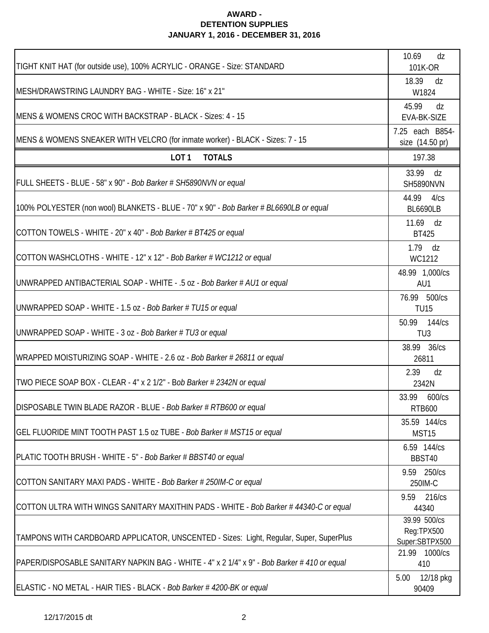| TIGHT KNIT HAT (for outside use), 100% ACRYLIC - ORANGE - Size: STANDARD                    | 10.69<br>dz<br>101K-OR                       |  |
|---------------------------------------------------------------------------------------------|----------------------------------------------|--|
| MESH/DRAWSTRING LAUNDRY BAG - WHITE - Size: 16" x 21"                                       | 18.39<br>dz<br>W1824                         |  |
| MENS & WOMENS CROC WITH BACKSTRAP - BLACK - Sizes: 4 - 15                                   | 45.99<br>dz<br>EVA-BK-SIZE                   |  |
| MENS & WOMENS SNEAKER WITH VELCRO (for inmate worker) - BLACK - Sizes: 7 - 15               | 7.25 each B854-<br>size (14.50 pr)           |  |
| LOT <sub>1</sub><br><b>TOTALS</b>                                                           | 197.38                                       |  |
| FULL SHEETS - BLUE - 58" x 90" - Bob Barker # SH5890NVN or equal                            | 33.99 dz<br><b>SH5890NVN</b>                 |  |
| 100% POLYESTER (non wool) BLANKETS - BLUE - 70" x 90" - Bob Barker # BL6690LB or equal      | 44.99 4/cs<br><b>BL6690LB</b>                |  |
| COTTON TOWELS - WHITE - 20" x 40" - Bob Barker # BT425 or equal                             | 11.69<br>dz<br><b>BT425</b>                  |  |
| COTTON WASHCLOTHS - WHITE - 12" x 12" - Bob Barker # WC1212 or equal                        | $1.79$ dz<br>WC1212                          |  |
| UNWRAPPED ANTIBACTERIAL SOAP - WHITE - .5 oz - Bob Barker # AU1 or equal                    | 48.99 1,000/cs<br>AU1                        |  |
| UNWRAPPED SOAP - WHITE - 1.5 oz - Bob Barker # TU15 or equal                                | 76.99 500/cs<br><b>TU15</b>                  |  |
| UNWRAPPED SOAP - WHITE - 3 oz - Bob Barker # TU3 or equal                                   | 50.99 144/cs<br>TU <sub>3</sub>              |  |
| WRAPPED MOISTURIZING SOAP - WHITE - 2.6 oz - Bob Barker # 26811 or equal                    | 38.99 36/cs<br>26811                         |  |
| TWO PIECE SOAP BOX - CLEAR - 4" x 2 1/2" - Bob Barker # 2342N or equal                      | 2.39<br>dz<br>2342N                          |  |
| DISPOSABLE TWIN BLADE RAZOR - BLUE - Bob Barker # RTB600 or equal                           | 33.99<br>600/cs<br><b>RTB600</b>             |  |
| GEL FLUORIDE MINT TOOTH PAST 1.5 oz TUBE - Bob Barker # MST15 or equal                      | 35.59 144/cs<br>MST15                        |  |
| PLATIC TOOTH BRUSH - WHITE - 5" - Bob Barker # BBST40 or equal                              | 6.59 144/cs<br>BBST40                        |  |
| COTTON SANITARY MAXI PADS - WHITE - Bob Barker # 250IM-C or equal                           | 9.59 250/cs<br>250IM-C                       |  |
| COTTON ULTRA WITH WINGS SANITARY MAXITHIN PADS - WHITE - Bob Barker # 44340-C or equal      | 9.59<br>216/cs<br>44340                      |  |
| TAMPONS WITH CARDBOARD APPLICATOR, UNSCENTED - Sizes: Light, Regular, Super, SuperPlus      | 39.99 500/cs<br>Reg:TPX500<br>Super:SBTPX500 |  |
| PAPER/DISPOSABLE SANITARY NAPKIN BAG - WHITE - 4" x 2 1/4" x 9" - Bob Barker # 410 or equal | 21.99 1000/cs<br>410                         |  |
| ELASTIC - NO METAL - HAIR TIES - BLACK - Bob Barker # 4200-BK or equal                      | 5.00<br>12/18 pkg<br>90409                   |  |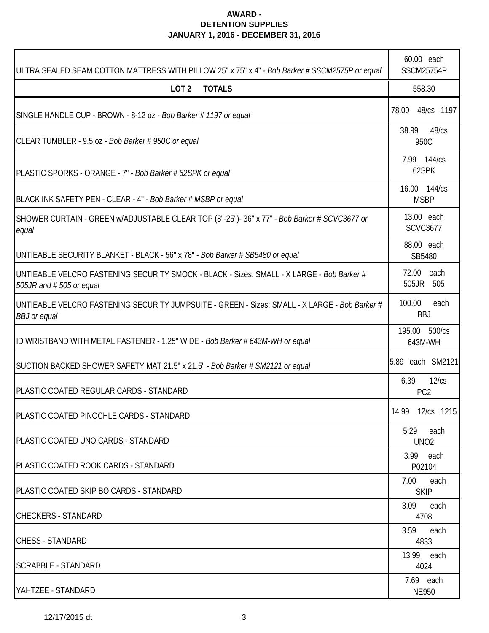| ULTRA SEALED SEAM COTTON MATTRESS WITH PILLOW 25" x 75" x 4" - Bob Barker # SSCM2575P or equal                       | 60.00 each<br><b>SSCM25754P</b>  |  |
|----------------------------------------------------------------------------------------------------------------------|----------------------------------|--|
| LOT <sub>2</sub><br><b>TOTALS</b>                                                                                    | 558.30                           |  |
| SINGLE HANDLE CUP - BROWN - 8-12 oz - Bob Barker # 1197 or equal                                                     | 48/cs 1197<br>78.00              |  |
| CLEAR TUMBLER - 9.5 oz - Bob Barker # 950C or equal                                                                  | 38.99<br>48/cs<br>950C           |  |
| PLASTIC SPORKS - ORANGE - 7" - Bob Barker # 62SPK or equal                                                           | 7.99 144/cs<br>62SPK             |  |
| BLACK INK SAFETY PEN - CLEAR - 4" - Bob Barker # MSBP or equal                                                       | 16.00 144/cs<br><b>MSBP</b>      |  |
| SHOWER CURTAIN - GREEN w/ADJUSTABLE CLEAR TOP (8"-25")- 36" x 77" - Bob Barker # SCVC3677 or<br>equal                | 13.00 each<br><b>SCVC3677</b>    |  |
| UNTIEABLE SECURITY BLANKET - BLACK - 56" x 78" - Bob Barker # SB5480 or equal                                        | 88.00 each<br>SB5480             |  |
| UNTIEABLE VELCRO FASTENING SECURITY SMOCK - BLACK - Sizes: SMALL - X LARGE - Bob Barker #<br>505JR and #505 or equal | 72.00<br>each<br>505JR 505       |  |
| UNTIEABLE VELCRO FASTENING SECURITY JUMPSUITE - GREEN - Sizes: SMALL - X LARGE - Bob Barker #<br><b>BBJ</b> or equal | 100.00<br>each<br><b>BBJ</b>     |  |
| ID WRISTBAND WITH METAL FASTENER - 1.25" WIDE - Bob Barker # 643M-WH or equal                                        | 195.00 500/cs<br>643M-WH         |  |
| SUCTION BACKED SHOWER SAFETY MAT 21.5" x 21.5" - Bob Barker # SM2121 or equal                                        | 5.89 each SM2121                 |  |
| <b>IPLASTIC COATED REGULAR CARDS - STANDARD</b>                                                                      | 6.39<br>12/cs<br>PC <sub>2</sub> |  |
| PLASTIC COATED PINOCHLE CARDS - STANDARD                                                                             | 14.99 12/cs 1215                 |  |
| <b>IPLASTIC COATED UNO CARDS - STANDARD</b>                                                                          | 5.29<br>each<br>UNO <sub>2</sub> |  |
| <b>PLASTIC COATED ROOK CARDS - STANDARD</b>                                                                          | 3.99 each<br>P02104              |  |
| <b>IPLASTIC COATED SKIP BO CARDS - STANDARD</b>                                                                      | 7.00<br>each<br><b>SKIP</b>      |  |
| <b>CHECKERS - STANDARD</b>                                                                                           | 3.09<br>each<br>4708             |  |
| <b>CHESS - STANDARD</b>                                                                                              | 3.59<br>each<br>4833             |  |
| <b>SCRABBLE - STANDARD</b>                                                                                           | 13.99<br>each<br>4024            |  |
| YAHTZEE - STANDARD                                                                                                   | 7.69 each<br><b>NE950</b>        |  |